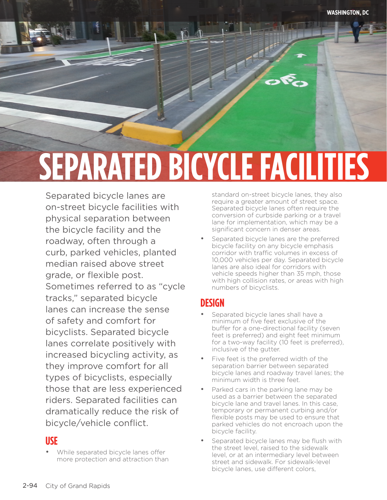# **SEPARATED BICYCLE FACILITIES**

Separated bicycle lanes are on-street bicycle facilities with physical separation between the bicycle facility and the roadway, often through a curb, parked vehicles, planted median raised above street grade, or flexible post. Sometimes referred to as "cycle tracks," separated bicycle lanes can increase the sense of safety and comfort for bicyclists. Separated bicycle lanes correlate positively with increased bicycling activity, as they improve comfort for all types of bicyclists, especially those that are less experienced riders. Separated facilities can dramatically reduce the risk of bicycle/vehicle conflict.

#### **USE**

separated bicycle facilities facilities facilities facilities facilities facilities facilities facilities faci

• While separated bicycle lanes offer more protection and attraction than

standard on-street bicycle lanes, they also require a greater amount of street space. Separated bicycle lanes often require the conversion of curbside parking or a travel lane for implementation, which may be a significant concern in denser areas.

Separated bicycle lanes are the preferred bicycle facility on any bicycle emphasis corridor with traffic volumes in excess of 10,000 vehicles per day. Separated bicycle lanes are also ideal for corridors with vehicle speeds higher than 35 mph, those with high collision rates, or areas with high numbers of bicyclists.

#### **DESIGN**

- Separated bicycle lanes shall have a minimum of five feet exclusive of the buffer for a one-directional facility (seven feet is preferred) and eight feet minimum for a two-way facility (10 feet is preferred), inclusive of the gutter.
- Five feet is the preferred width of the separation barrier between separated bicycle lanes and roadway travel lanes; the minimum width is three feet.
- Parked cars in the parking lane may be used as a barrier between the separated bicycle lane and travel lanes. In this case, temporary or permanent curbing and/or flexible posts may be used to ensure that parked vehicles do not encroach upon the bicycle facility.
- Separated bicycle lanes may be flush with the street level, raised to the sidewalk level, or at an intermediary level between street and sidewalk. For sidewalk-level bicycle lanes, use different colors,